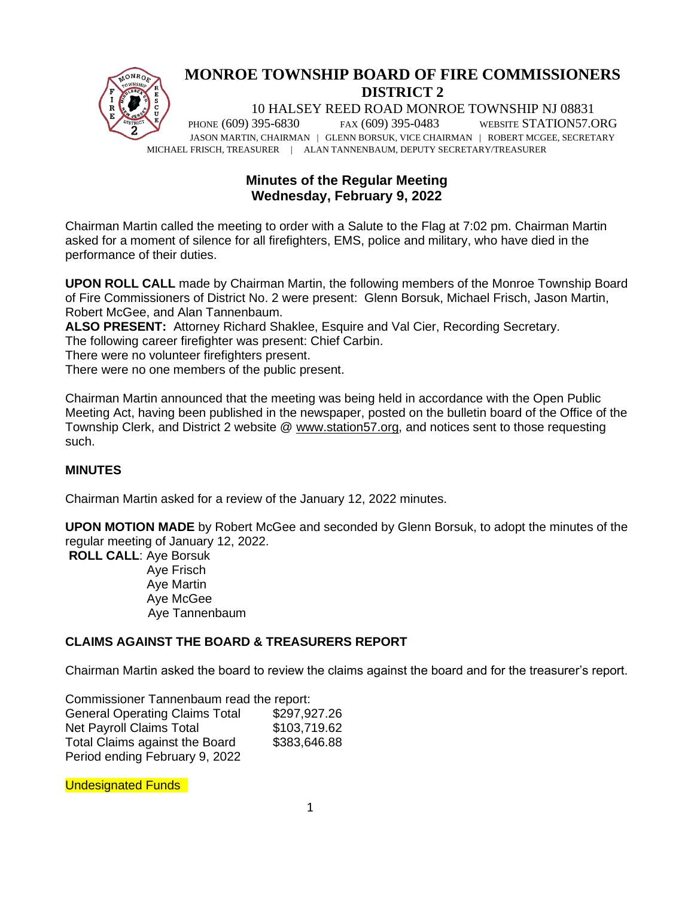

# **MONROE TOWNSHIP BOARD OF FIRE COMMISSIONERS DISTRICT 2**

10 HALSEY REED ROAD MONROE TOWNSHIP NJ 08831 PHONE (609) 395-6830 FAX (609) 395-0483 WEBSITE STATION57.ORG JASON MARTIN, CHAIRMAN | GLENN BORSUK, VICE CHAIRMAN | ROBERT MCGEE, SECRETARY MICHAEL FRISCH, TREASURER | ALAN TANNENBAUM, DEPUTY SECRETARY/TREASURER

# **Minutes of the Regular Meeting Wednesday, February 9, 2022**

Chairman Martin called the meeting to order with a Salute to the Flag at 7:02 pm. Chairman Martin asked for a moment of silence for all firefighters, EMS, police and military, who have died in the performance of their duties.

**UPON ROLL CALL** made by Chairman Martin, the following members of the Monroe Township Board of Fire Commissioners of District No. 2 were present: Glenn Borsuk, Michael Frisch, Jason Martin, Robert McGee, and Alan Tannenbaum.

**ALSO PRESENT:** Attorney Richard Shaklee, Esquire and Val Cier, Recording Secretary.

The following career firefighter was present: Chief Carbin.

There were no volunteer firefighters present.

There were no one members of the public present.

Chairman Martin announced that the meeting was being held in accordance with the Open Public Meeting Act, having been published in the newspaper, posted on the bulletin board of the Office of the Township Clerk, and District 2 website @ [www.station57.org,](http://www.station57.org/) and notices sent to those requesting such.

## **MINUTES**

Chairman Martin asked for a review of the January 12, 2022 minutes.

**UPON MOTION MADE** by Robert McGee and seconded by Glenn Borsuk, to adopt the minutes of the regular meeting of January 12, 2022.

**ROLL CALL**: Aye Borsuk Aye Frisch Aye Martin Aye McGee Aye Tannenbaum

## **CLAIMS AGAINST THE BOARD & TREASURERS REPORT**

Chairman Martin asked the board to review the claims against the board and for the treasurer's report.

| Commissioner Tannenbaum read the report: |              |
|------------------------------------------|--------------|
| <b>General Operating Claims Total</b>    | \$297,927.26 |
| <b>Net Payroll Claims Total</b>          | \$103,719.62 |
| Total Claims against the Board           | \$383,646.88 |
| Period ending February 9, 2022           |              |

Undesignated Funds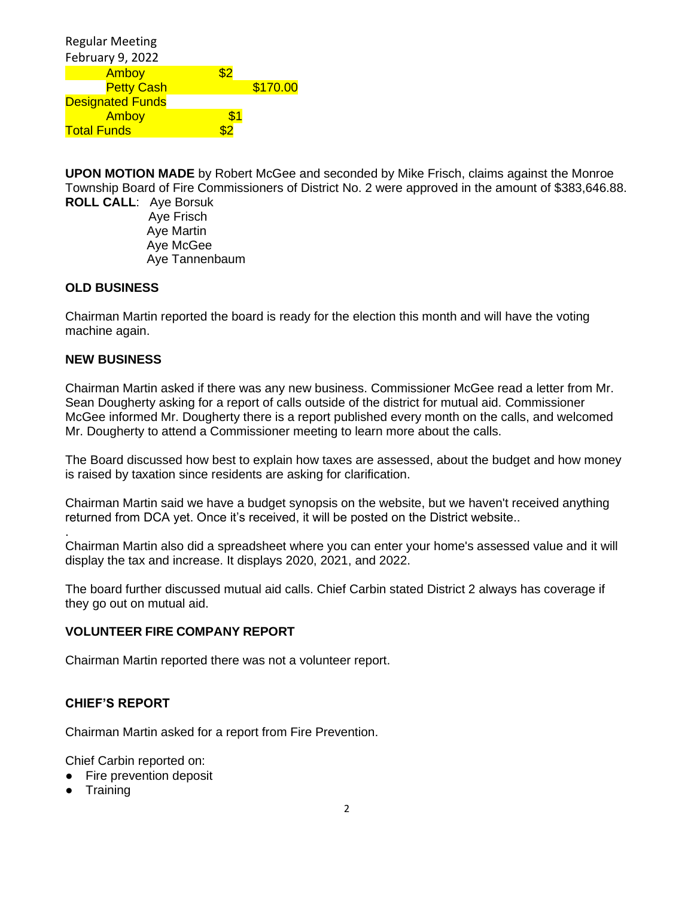| <b>Regular Meeting</b>  |     |          |
|-------------------------|-----|----------|
| February 9, 2022        |     |          |
| Amboy                   | \$2 |          |
| <b>Petty Cash</b>       |     | \$170.00 |
| <b>Designated Funds</b> |     |          |
| Amboy                   |     |          |
| <b>Total Funds</b>      |     |          |

**UPON MOTION MADE** by Robert McGee and seconded by Mike Frisch, claims against the Monroe Township Board of Fire Commissioners of District No. 2 were approved in the amount of \$383,646.88.

**ROLL CALL**: Aye Borsuk Aye Frisch Aye Martin Aye McGee Aye Tannenbaum

#### **OLD BUSINESS**

Chairman Martin reported the board is ready for the election this month and will have the voting machine again.

#### **NEW BUSINESS**

.

Chairman Martin asked if there was any new business. Commissioner McGee read a letter from Mr. Sean Dougherty asking for a report of calls outside of the district for mutual aid. Commissioner McGee informed Mr. Dougherty there is a report published every month on the calls, and welcomed Mr. Dougherty to attend a Commissioner meeting to learn more about the calls.

The Board discussed how best to explain how taxes are assessed, about the budget and how money is raised by taxation since residents are asking for clarification.

Chairman Martin said we have a budget synopsis on the website, but we haven't received anything returned from DCA yet. Once it's received, it will be posted on the District website..

Chairman Martin also did a spreadsheet where you can enter your home's assessed value and it will display the tax and increase. It displays 2020, 2021, and 2022.

The board further discussed mutual aid calls. Chief Carbin stated District 2 always has coverage if they go out on mutual aid.

#### **VOLUNTEER FIRE COMPANY REPORT**

Chairman Martin reported there was not a volunteer report.

### **CHIEF'S REPORT**

Chairman Martin asked for a report from Fire Prevention.

Chief Carbin reported on:

- Fire prevention deposit
- Training